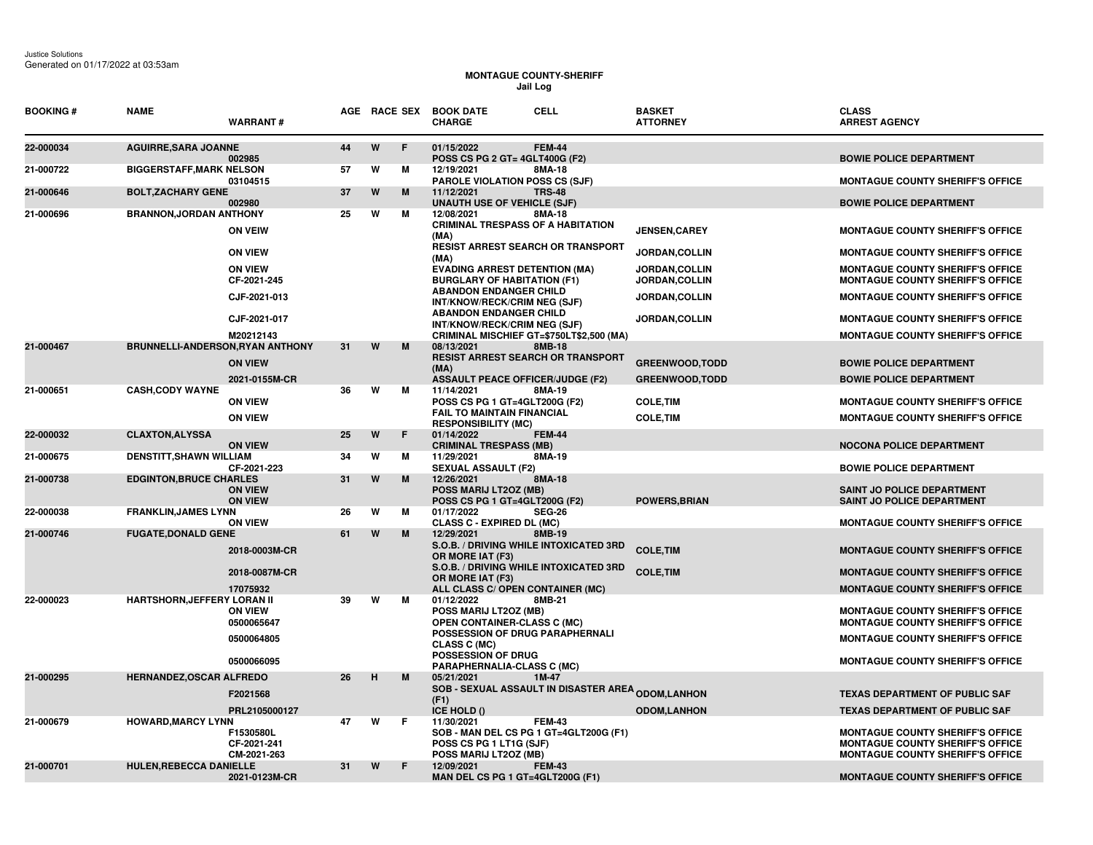## **MONTAGUE COUNTY-SHERIFF Jail Log**

| <b>BOOKING#</b> | <b>NAME</b>                             | <b>WARRANT#</b>                         |    |   | AGE RACE SEX | <b>CELL</b><br><b>BOOK DATE</b><br><b>CHARGE</b>                                                                          | <b>BASKET</b><br><b>ATTORNEY</b> | <b>CLASS</b><br><b>ARREST AGENCY</b>                                                                                          |
|-----------------|-----------------------------------------|-----------------------------------------|----|---|--------------|---------------------------------------------------------------------------------------------------------------------------|----------------------------------|-------------------------------------------------------------------------------------------------------------------------------|
| 22-000034       | <b>AGUIRRE, SARA JOANNE</b>             | 002985                                  | 44 | W | F.           | 01/15/2022<br><b>FEM-44</b><br><b>POSS CS PG 2 GT= 4GLT400G (F2)</b>                                                      |                                  | <b>BOWIE POLICE DEPARTMENT</b>                                                                                                |
| 21-000722       | <b>BIGGERSTAFF, MARK NELSON</b>         | 03104515                                | 57 | W | м            | 12/19/2021<br>8MA-18<br><b>PAROLE VIOLATION POSS CS (SJF)</b>                                                             |                                  | <b>MONTAGUE COUNTY SHERIFF'S OFFICE</b>                                                                                       |
| 21-000646       | <b>BOLT, ZACHARY GENE</b>               | 002980                                  | 37 | W | M            | 11/12/2021<br><b>TRS-48</b><br>UNAUTH USE OF VEHICLE (SJF)                                                                |                                  | <b>BOWIE POLICE DEPARTMENT</b>                                                                                                |
| 21-000696       | <b>BRANNON, JORDAN ANTHONY</b>          | <b>ON VEIW</b>                          | 25 | W | м            | 8MA-18<br>12/08/2021<br><b>CRIMINAL TRESPASS OF A HABITATION</b><br>(MA)                                                  | <b>JENSEN, CAREY</b>             | <b>MONTAGUE COUNTY SHERIFF'S OFFICE</b>                                                                                       |
|                 |                                         | <b>ON VIEW</b>                          |    |   |              | <b>RESIST ARREST SEARCH OR TRANSPORT</b><br>(MA)                                                                          | JORDAN, COLLIN                   | <b>MONTAGUE COUNTY SHERIFF'S OFFICE</b>                                                                                       |
|                 |                                         | <b>ON VIEW</b><br>CF-2021-245           |    |   |              | <b>EVADING ARREST DETENTION (MA)</b><br><b>BURGLARY OF HABITATION (F1)</b>                                                | JORDAN, COLLIN<br>JORDAN, COLLIN | <b>MONTAGUE COUNTY SHERIFF'S OFFICE</b><br><b>MONTAGUE COUNTY SHERIFF'S OFFICE</b>                                            |
|                 |                                         | CJF-2021-013                            |    |   |              | <b>ABANDON ENDANGER CHILD</b><br>INT/KNOW/RECK/CRIM NEG (SJF)                                                             | JORDAN, COLLIN                   | <b>MONTAGUE COUNTY SHERIFF'S OFFICE</b>                                                                                       |
|                 |                                         | CJF-2021-017                            |    |   |              | <b>ABANDON ENDANGER CHILD</b><br>INT/KNOW/RECK/CRIM NEG (SJF)                                                             | JORDAN, COLLIN                   | <b>MONTAGUE COUNTY SHERIFF'S OFFICE</b>                                                                                       |
| 21-000467       | <b>BRUNNELLI-ANDERSON, RYAN ANTHONY</b> | M20212143                               | 31 | W | M            | CRIMINAL MISCHIEF GT=\$750LT\$2,500 (MA)<br>08/13/2021<br>8MB-18                                                          |                                  | <b>MONTAGUE COUNTY SHERIFF'S OFFICE</b>                                                                                       |
|                 |                                         | <b>ON VIEW</b>                          |    |   |              | <b>RESIST ARREST SEARCH OR TRANSPORT</b><br>(MA)                                                                          | <b>GREENWOOD, TODD</b>           | <b>BOWIE POLICE DEPARTMENT</b>                                                                                                |
|                 |                                         | 2021-0155M-CR                           |    |   |              | <b>ASSAULT PEACE OFFICER/JUDGE (F2)</b>                                                                                   | <b>GREENWOOD, TODD</b>           | <b>BOWIE POLICE DEPARTMENT</b>                                                                                                |
| 21-000651       | <b>CASH, CODY WAYNE</b>                 | <b>ON VIEW</b>                          | 36 | W | м            | 11/14/2021<br>8MA-19<br>POSS CS PG 1 GT=4GLT200G (F2)                                                                     | <b>COLE, TIM</b>                 | <b>MONTAGUE COUNTY SHERIFF'S OFFICE</b>                                                                                       |
|                 |                                         | <b>ON VIEW</b>                          |    |   |              | <b>FAIL TO MAINTAIN FINANCIAL</b>                                                                                         | <b>COLE, TIM</b>                 | <b>MONTAGUE COUNTY SHERIFF'S OFFICE</b>                                                                                       |
| 22-000032       | <b>CLAXTON, ALYSSA</b>                  |                                         | 25 | W | F            | <b>RESPONSIBILITY (MC)</b><br>01/14/2022<br><b>FEM-44</b>                                                                 |                                  |                                                                                                                               |
|                 |                                         | <b>ON VIEW</b>                          |    |   |              | <b>CRIMINAL TRESPASS (MB)</b>                                                                                             |                                  | <b>NOCONA POLICE DEPARTMENT</b>                                                                                               |
| 21-000675       | <b>DENSTITT, SHAWN WILLIAM</b>          | CF-2021-223                             | 34 | W | м<br>M       | 8MA-19<br>11/29/2021<br><b>SEXUAL ASSAULT (F2)</b>                                                                        |                                  | <b>BOWIE POLICE DEPARTMENT</b>                                                                                                |
| 21-000738       | <b>EDGINTON, BRUCE CHARLES</b>          | <b>ON VIEW</b><br><b>ON VIEW</b>        | 31 | W |              | 12/26/2021<br>8MA-18<br>POSS MARIJ LT2OZ (MB)<br>POSS CS PG 1 GT=4GLT200G (F2)                                            | <b>POWERS, BRIAN</b>             | <b>SAINT JO POLICE DEPARTMENT</b><br>SAINT JO POLICE DEPARTMENT                                                               |
| 22-000038       | <b>FRANKLIN, JAMES LYNN</b>             |                                         | 26 | W | м            | 01/17/2022<br><b>SEG-26</b>                                                                                               |                                  |                                                                                                                               |
| 21-000746       | <b>FUGATE, DONALD GENE</b>              | <b>ON VIEW</b>                          | 61 | W | м            | <b>CLASS C - EXPIRED DL (MC)</b><br>12/29/2021<br>8MB-19                                                                  |                                  | <b>MONTAGUE COUNTY SHERIFF'S OFFICE</b>                                                                                       |
|                 |                                         | 2018-0003M-CR                           |    |   |              | S.O.B. / DRIVING WHILE INTOXICATED 3RD<br>OR MORE IAT (F3)                                                                | <b>COLE, TIM</b>                 | <b>MONTAGUE COUNTY SHERIFF'S OFFICE</b>                                                                                       |
|                 |                                         | 2018-0087M-CR                           |    |   |              | S.O.B. / DRIVING WHILE INTOXICATED 3RD<br>OR MORE IAT (F3)                                                                | <b>COLE, TIM</b>                 | <b>MONTAGUE COUNTY SHERIFF'S OFFICE</b>                                                                                       |
|                 |                                         | 17075932                                |    |   |              | ALL CLASS C/ OPEN CONTAINER (MC)                                                                                          |                                  | <b>MONTAGUE COUNTY SHERIFF'S OFFICE</b>                                                                                       |
| 22-000023       | <b>HARTSHORN, JEFFERY LORAN II</b>      | <b>ON VIEW</b><br>0500065647            | 39 | W | М            | 01/12/2022<br>8MB-21<br>POSS MARIJ LT2OZ (MB)<br>OPEN CONTAINER-CLASS C (MC)                                              |                                  | <b>MONTAGUE COUNTY SHERIFF'S OFFICE</b><br>MONTAGUE COUNTY SHERIFF'S OFFICE                                                   |
|                 |                                         | 0500064805                              |    |   |              | POSSESSION OF DRUG PARAPHERNALI<br>CLASS C (MC)                                                                           |                                  | <b>MONTAGUE COUNTY SHERIFF'S OFFICE</b>                                                                                       |
|                 |                                         | 0500066095                              |    |   |              | <b>POSSESSION OF DRUG</b><br>PARAPHERNALIA-CLASS C (MC)                                                                   |                                  | <b>MONTAGUE COUNTY SHERIFF'S OFFICE</b>                                                                                       |
| 21-000295       | <b>HERNANDEZ, OSCAR ALFREDO</b>         | F2021568                                | 26 | н | M            | 05/21/2021<br>1M-47<br>SOB - SEXUAL ASSAULT IN DISASTER AREA <sub>ODOM,</sub> LANHON                                      |                                  | <b>TEXAS DEPARTMENT OF PUBLIC SAF</b>                                                                                         |
|                 |                                         | PRL2105000127                           |    |   |              | (F1)<br>ICE HOLD ()                                                                                                       | <b>ODOM,LANHON</b>               | <b>TEXAS DEPARTMENT OF PUBLIC SAF</b>                                                                                         |
| 21-000679       | <b>HOWARD, MARCY LYNN</b>               | F1530580L<br>CF-2021-241<br>CM-2021-263 | 47 | W | F            | 11/30/2021<br><b>FEM-43</b><br>SOB - MAN DEL CS PG 1 GT=4GLT200G (F1)<br>POSS CS PG 1 LT1G (SJF)<br>POSS MARIJ LT2OZ (MB) |                                  | <b>MONTAGUE COUNTY SHERIFF'S OFFICE</b><br><b>MONTAGUE COUNTY SHERIFF'S OFFICE</b><br><b>MONTAGUE COUNTY SHERIFF'S OFFICE</b> |
| 21-000701       | <b>HULEN, REBECCA DANIELLE</b>          | 2021-0123M-CR                           | 31 | W | F            | 12/09/2021<br><b>FEM-43</b><br>MAN DEL CS PG 1 GT=4GLT200G (F1)                                                           |                                  | <b>MONTAGUE COUNTY SHERIFF'S OFFICE</b>                                                                                       |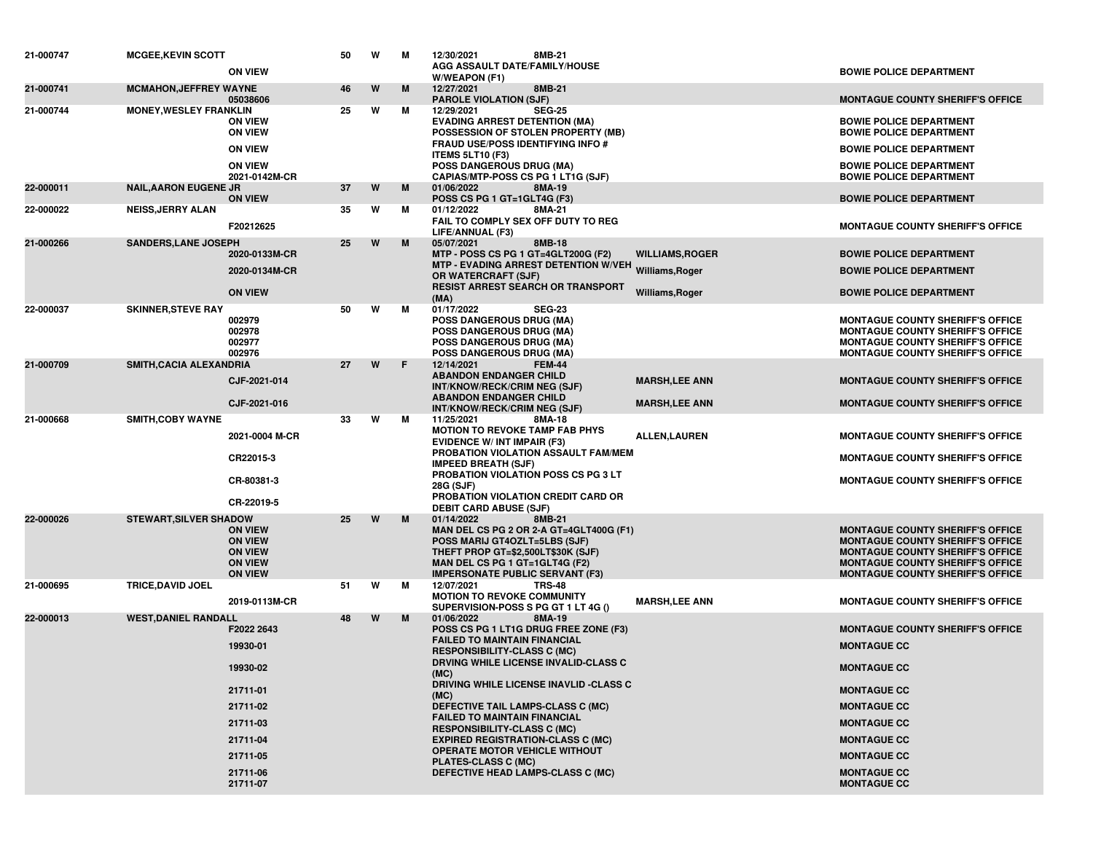| 21-000747 | <b>MCGEE, KEVIN SCOTT</b>     | <b>ON VIEW</b>                                                                                                         | 50 | W | м | 12/30/2021<br>8MB-21<br>AGG ASSAULT DATE/FAMILY/HOUSE<br>W/WEAPON (F1)                                                                                                                                                                                                                                                                                                                                                                                                                                                |                                           | <b>BOWIE POLICE DEPARTMENT</b>                                                                                                                                                                                                                |
|-----------|-------------------------------|------------------------------------------------------------------------------------------------------------------------|----|---|---|-----------------------------------------------------------------------------------------------------------------------------------------------------------------------------------------------------------------------------------------------------------------------------------------------------------------------------------------------------------------------------------------------------------------------------------------------------------------------------------------------------------------------|-------------------------------------------|-----------------------------------------------------------------------------------------------------------------------------------------------------------------------------------------------------------------------------------------------|
| 21-000741 | <b>MCMAHON, JEFFREY WAYNE</b> | 05038606                                                                                                               | 46 | W | M | 12/27/2021<br>8MB-21<br><b>PAROLE VIOLATION (SJF)</b>                                                                                                                                                                                                                                                                                                                                                                                                                                                                 |                                           | <b>MONTAGUE COUNTY SHERIFF'S OFFICE</b>                                                                                                                                                                                                       |
| 21-000744 | <b>MONEY, WESLEY FRANKLIN</b> | <b>ON VIEW</b><br><b>ON VIEW</b><br><b>ON VIEW</b><br><b>ON VIEW</b>                                                   | 25 | W | м | 12/29/2021<br><b>SEG-25</b><br><b>EVADING ARREST DETENTION (MA)</b><br>POSSESSION OF STOLEN PROPERTY (MB)<br>FRAUD USE/POSS IDENTIFYING INFO #<br><b>ITEMS 5LT10 (F3)</b><br><b>POSS DANGEROUS DRUG (MA)</b>                                                                                                                                                                                                                                                                                                          |                                           | <b>BOWIE POLICE DEPARTMENT</b><br><b>BOWIE POLICE DEPARTMENT</b><br><b>BOWIE POLICE DEPARTMENT</b><br><b>BOWIE POLICE DEPARTMENT</b>                                                                                                          |
| 22-000011 | <b>NAIL, AARON EUGENE JR</b>  | 2021-0142M-CR                                                                                                          | 37 | W | M | CAPIAS/MTP-POSS CS PG 1 LT1G (SJF)<br>01/06/2022<br>8MA-19                                                                                                                                                                                                                                                                                                                                                                                                                                                            |                                           | <b>BOWIE POLICE DEPARTMENT</b>                                                                                                                                                                                                                |
| 22-000022 | <b>NEISS, JERRY ALAN</b>      | <b>ON VIEW</b>                                                                                                         | 35 | W | м | POSS CS PG 1 GT=1GLT4G (F3)<br>01/12/2022<br>8MA-21                                                                                                                                                                                                                                                                                                                                                                                                                                                                   |                                           | <b>BOWIE POLICE DEPARTMENT</b>                                                                                                                                                                                                                |
|           |                               | F20212625                                                                                                              |    |   |   | FAIL TO COMPLY SEX OFF DUTY TO REG<br>LIFE/ANNUAL (F3)                                                                                                                                                                                                                                                                                                                                                                                                                                                                |                                           | <b>MONTAGUE COUNTY SHERIFF'S OFFICE</b>                                                                                                                                                                                                       |
| 21-000266 | <b>SANDERS, LANE JOSEPH</b>   | 2020-0133M-CR<br>2020-0134M-CR<br><b>ON VIEW</b>                                                                       | 25 | W | M | 05/07/2021<br>8MB-18<br>MTP - POSS CS PG 1 GT=4GLT200G (F2)<br>MTP - EVADING ARREST DETENTION W/VEH Williams, Roger<br>OR WATERCRAFT (SJF)<br>RESIST ARREST SEARCH OR TRANSPORT<br>(MA)                                                                                                                                                                                                                                                                                                                               | <b>WILLIAMS, ROGER</b><br>Williams, Roger | <b>BOWIE POLICE DEPARTMENT</b><br><b>BOWIE POLICE DEPARTMENT</b><br><b>BOWIE POLICE DEPARTMENT</b>                                                                                                                                            |
| 22-000037 | <b>SKINNER, STEVE RAY</b>     | 002979<br>002978<br>002977<br>002976                                                                                   | 50 | W | м | 01/17/2022<br><b>SEG-23</b><br>POSS DANGEROUS DRUG (MA)<br><b>POSS DANGEROUS DRUG (MA)</b><br><b>POSS DANGEROUS DRUG (MA)</b><br><b>POSS DANGEROUS DRUG (MA)</b>                                                                                                                                                                                                                                                                                                                                                      |                                           | <b>MONTAGUE COUNTY SHERIFF'S OFFICE</b><br><b>MONTAGUE COUNTY SHERIFF'S OFFICE</b><br><b>MONTAGUE COUNTY SHERIFF'S OFFICE</b><br>MONTAGUE COUNTY SHERIFF'S OFFICE                                                                             |
| 21-000709 | SMITH, CACIA ALEXANDRIA       | CJF-2021-014                                                                                                           | 27 | W | F | 12/14/2021<br><b>FEM-44</b><br><b>ABANDON ENDANGER CHILD</b><br>INT/KNOW/RECK/CRIM NEG (SJF)                                                                                                                                                                                                                                                                                                                                                                                                                          | <b>MARSH,LEE ANN</b>                      | <b>MONTAGUE COUNTY SHERIFF'S OFFICE</b>                                                                                                                                                                                                       |
|           |                               | CJF-2021-016                                                                                                           |    |   |   | <b>ABANDON ENDANGER CHILD</b><br>INT/KNOW/RECK/CRIM NEG (SJF)                                                                                                                                                                                                                                                                                                                                                                                                                                                         | <b>MARSH,LEE ANN</b>                      | <b>MONTAGUE COUNTY SHERIFF'S OFFICE</b>                                                                                                                                                                                                       |
| 21-000668 | <b>SMITH, COBY WAYNE</b>      | 2021-0004 M-CR<br>CR22015-3<br>CR-80381-3<br>CR-22019-5                                                                | 33 | W | м | 11/25/2021<br>8MA-18<br><b>MOTION TO REVOKE TAMP FAB PHYS</b><br><b>EVIDENCE W/ INT IMPAIR (F3)</b><br>PROBATION VIOLATION ASSAULT FAM/MEM<br><b>IMPEED BREATH (SJF)</b><br>PROBATION VIOLATION POSS CS PG 3 LT<br>28G (SJF)<br>PROBATION VIOLATION CREDIT CARD OR<br><b>DEBIT CARD ABUSE (SJF)</b>                                                                                                                                                                                                                   | <b>ALLEN,LAUREN</b>                       | <b>MONTAGUE COUNTY SHERIFF'S OFFICE</b><br><b>MONTAGUE COUNTY SHERIFF'S OFFICE</b><br><b>MONTAGUE COUNTY SHERIFF'S OFFICE</b>                                                                                                                 |
| 22-000026 | <b>STEWART, SILVER SHADOW</b> | <b>ON VIEW</b><br><b>ON VIEW</b><br><b>ON VIEW</b><br><b>ON VIEW</b><br><b>ON VIEW</b>                                 | 25 | W | M | 01/14/2022<br>8MB-21<br>MAN DEL CS PG 2 OR 2-A GT=4GLT400G (F1)<br>POSS MARIJ GT4OZLT=5LBS (SJF)<br>THEFT PROP GT=\$2,500LT\$30K (SJF)<br>MAN DEL CS PG 1 GT=1GLT4G (F2)<br><b>IMPERSONATE PUBLIC SERVANT (F3)</b>                                                                                                                                                                                                                                                                                                    |                                           | <b>MONTAGUE COUNTY SHERIFF'S OFFICE</b><br><b>MONTAGUE COUNTY SHERIFF'S OFFICE</b><br><b>MONTAGUE COUNTY SHERIFF'S OFFICE</b><br><b>MONTAGUE COUNTY SHERIFF'S OFFICE</b><br><b>MONTAGUE COUNTY SHERIFF'S OFFICE</b>                           |
| 21-000695 | <b>TRICE, DAVID JOEL</b>      | 2019-0113M-CR                                                                                                          | 51 | W | м | 12/07/2021<br><b>TRS-48</b><br><b>MOTION TO REVOKE COMMUNITY</b><br>SUPERVISION-POSS S PG GT 1 LT 4G ()                                                                                                                                                                                                                                                                                                                                                                                                               | <b>MARSH,LEE ANN</b>                      | <b>MONTAGUE COUNTY SHERIFF'S OFFICE</b>                                                                                                                                                                                                       |
| 22-000013 | <b>WEST.DANIEL RANDALL</b>    | F2022 2643<br>19930-01<br>19930-02<br>21711-01<br>21711-02<br>21711-03<br>21711-04<br>21711-05<br>21711-06<br>21711-07 | 48 | W | M | 01/06/2022<br>8MA-19<br>POSS CS PG 1 LT1G DRUG FREE ZONE (F3)<br><b>FAILED TO MAINTAIN FINANCIAL</b><br><b>RESPONSIBILITY-CLASS C (MC)</b><br>DRVING WHILE LICENSE INVALID-CLASS C<br>(MC)<br>DRIVING WHILE LICENSE INAVLID -CLASS C<br>(MC)<br>DEFECTIVE TAIL LAMPS-CLASS C (MC)<br><b>FAILED TO MAINTAIN FINANCIAL</b><br><b>RESPONSIBILITY-CLASS C (MC)</b><br><b>EXPIRED REGISTRATION-CLASS C (MC)</b><br><b>OPERATE MOTOR VEHICLE WITHOUT</b><br><b>PLATES-CLASS C (MC)</b><br>DEFECTIVE HEAD LAMPS-CLASS C (MC) |                                           | <b>MONTAGUE COUNTY SHERIFF'S OFFICE</b><br><b>MONTAGUE CC</b><br><b>MONTAGUE CC</b><br><b>MONTAGUE CC</b><br><b>MONTAGUE CC</b><br><b>MONTAGUE CC</b><br><b>MONTAGUE CC</b><br><b>MONTAGUE CC</b><br><b>MONTAGUE CC</b><br><b>MONTAGUE CC</b> |